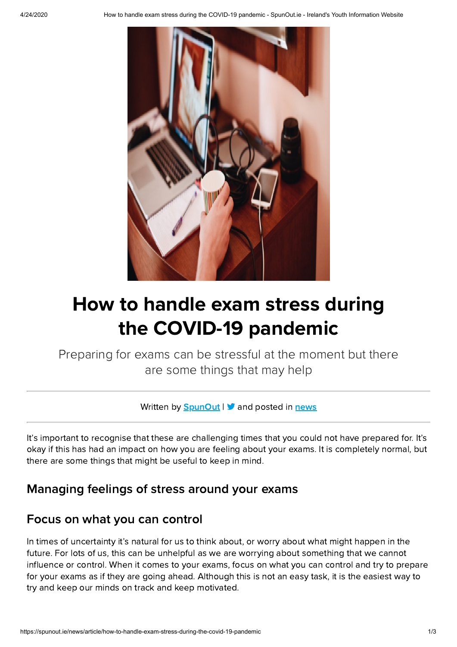

# How to handle exam stress during the COVID-19 pandemic

Preparing for exams can be stressful at the moment but there are some things that may help

Written by  $S$ punOut  $\triangleright$  and posted in [news](https://spunout.ie/news)

It's important to recognise that these are challenging times that you could not have prepared for. It's okay if this has had an impact on how you are feeling about your exams. It is completely normal, but there are some things that might be useful to keep in mind.

#### Managing feelings of stress around your exams

#### Focus on what you can control

In times of uncertainty it's natural for us to think about, or worry about what might happen in the future. For lots of us, this can be unhelpful as we are worrying about something that we cannot influence or control. When it comes to your exams, focus on what you can control and try to prepare for your exams as if they are going ahead. Although this is not an easy task, it is the easiest way to try and keep our minds on track and keep motivated.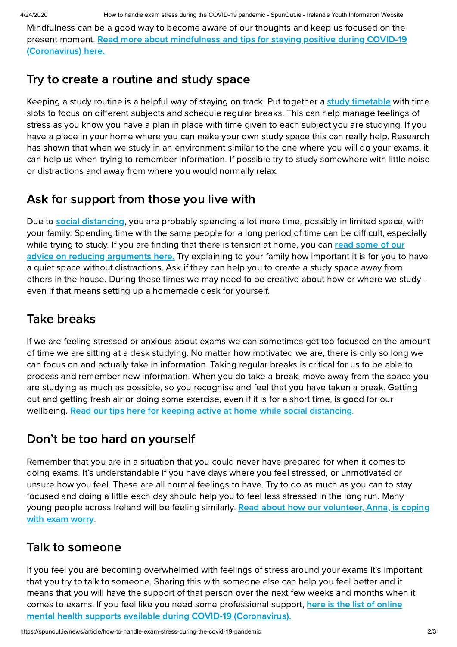Mindfulness can be a good way to become aware of our thoughts and keep us focused on the present moment. Read more about mindfulness and tips for staying positive during COVID-19 [\(Coronavirus\)](https://spunout.ie/news/article/practising-mindfulness-and-staying-positive-during-the-covid-19-pandemic) here.

### Try to create a routine and study space

Keeping a study routine is a helpful way of staying on track. Put together a study [timetable](https://instituteofeducation.ie/study-notes/studykit-timetable/) with time slots to focus on different subjects and schedule regular breaks. This can help manage feelings of stress as you know you have a plan in place with time given to each subject you are studying. If you have a place in your home where you can make your own study space this can really help. Research has shown that when we study in an environment similar to the one where you will do your exams, it can help us when trying to remember information. If possible try to study somewhere with little noise or distractions and away from where you would normally relax.

# Ask for support from those you live with

Due to social [distancing,](https://spunout.ie/news/article/practice-social-distancing) you are probably spending a lot more time, possibly in limited space, with your family. Spending time with the same people for a long period of time can be difficult, especially while trying to study. If you are finding that there is tension at home, you can read some of our advice on reducing [arguments](https://spunout.ie/news/article/reduce-arguments-during-covid-19) here. Try explaining to your family how important it is for you to have a quiet space without distractions. Ask if they can help you to create a study space away from others in the house. During these times we may need to be creative about how or where we study even if that means setting up a homemade desk for yourself.

# Take breaks

If we are feeling stressed or anxious about exams we can sometimes get too focused on the amount of time we are sitting at a desk studying. No matter how motivated we are, there is only so long we can focus on and actually take in information. Taking regular breaks is critical for us to be able to process and remember new information. When you do take a break, move away from the space you are studying as much as possible, so you recognise and feel that you have taken a break. Getting out and getting fresh air or doing some exercise, even if it is for a short time, is good for our wellbeing. Read our tips here for keeping active at home while social [distancing](https://spunout.ie/news/article/exercise-you-can-do-at-home-while-social-distancing).

# Don't be too hard on yourself

Remember that you are in a situation that you could never have prepared for when it comes to doing exams. It's understandable if you have days where you feel stressed, or unmotivated or unsure how you feel. These are all normal feelings to have. Try to do as much as you can to stay focused and doing a little each day should help you to feel less stressed in the long run. Many young people across Ireland will be feeling similarly. Read about how our [volunteer,](https://spunout.ie/opinion/article/how-coping-exam-worry-coronavirus-crisis) Anna, is coping with exam worry.

## Talk to someone

If you feel you are becoming overwhelmed with feelings of stress around your exams it's important that you try to talk to someone. Sharing this with someone else can help you feel better and it means that you will have the support of that person over the next few weeks and months when it comes to exams. If you feel like you need some professional support, here is the list of online mental health supports available during COVID-19 [\(Coronavirus\).](https://spunout.ie/news/article/mental-health-supports-covid-19)